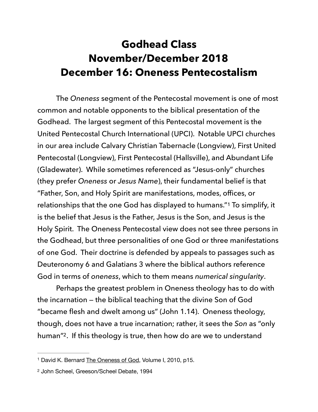## **Godhead Class November/December 2018 December 16: Oneness Pentecostalism**

 The *Oneness* segment of the Pentecostal movement is one of most common and notable opponents to the biblical presentation of the Godhead. The largest segment of this Pentecostal movement is the United Pentecostal Church International (UPCI). Notable UPCI churches in our area include Calvary Christian Tabernacle (Longview), First United Pentecostal (Longview), First Pentecostal (Hallsville), and Abundant Life (Gladewater). While sometimes referenced as "Jesus-only" churches (they prefer *Oneness* or *Jesus Name*), their fundamental belief is that "Father, Son, and Holy Spirit are manifestations, modes, offices, or relationships that the one God has displayed to humans."<sup>[1](#page-0-0)</sup> To simplify, it is the belief that Jesus is the Father, Jesus is the Son, and Jesus is the Holy Spirit. The Oneness Pentecostal view does not see three persons in the Godhead, but three personalities of one God or three manifestations of one God. Their doctrine is defended by appeals to passages such as Deuteronomy 6 and Galatians 3 where the biblical authors reference God in terms of *oneness*, which to them means *numerical singularity*.

<span id="page-0-2"></span> Perhaps the greatest problem in Oneness theology has to do with the incarnation — the biblical teaching that the divine Son of God "became flesh and dwelt among us" (John 1.14). Oneness theology, though, does not have a true incarnation; rather, it sees the *Son* as "only human"<sup>2</sup>[.](#page-0-1) If this theology is true, then how do are we to understand

<span id="page-0-3"></span><span id="page-0-0"></span><sup>&</sup>lt;sup>[1](#page-0-2)</sup> David K. Bernard The Oneness of God, Volume I, 2010, p15.

<span id="page-0-1"></span>[<sup>2</sup>](#page-0-3) John Scheel, Greeson/Scheel Debate, 1994